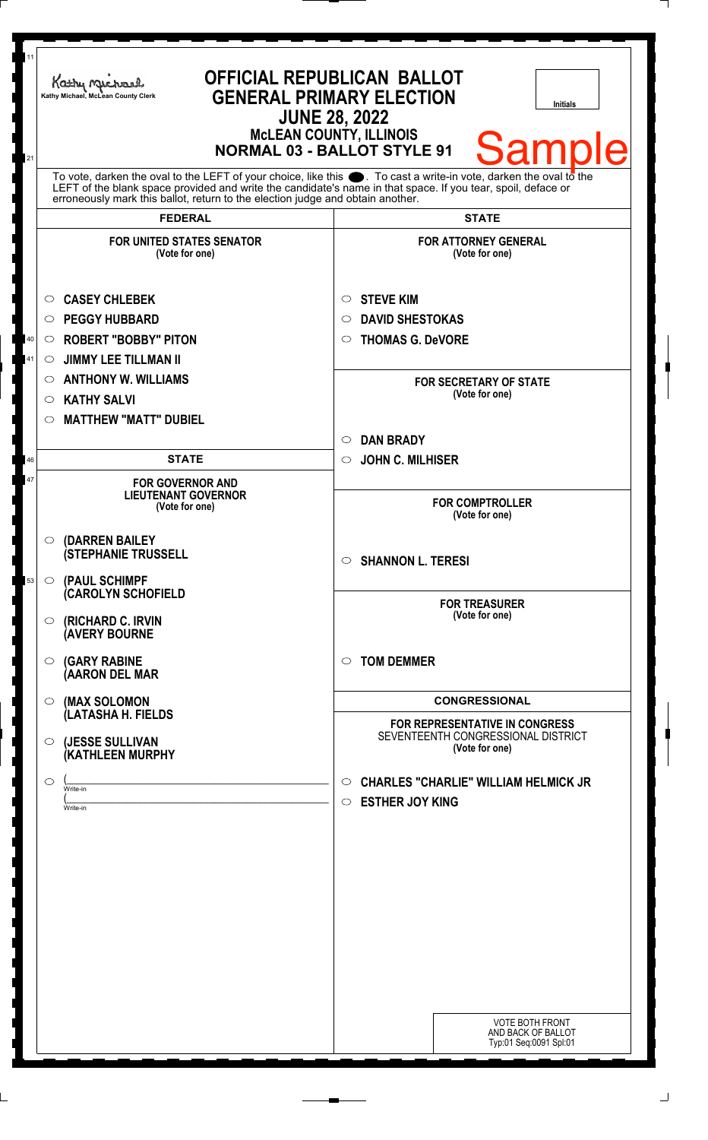| 11<br>21     | <b>OFFICIAL REPUBLICAN BALLOT</b><br>Kathy Machael<br><b>GENERAL PRIMARY ELECTION</b><br>Kathy Michael, McLean County Clerk<br><b>Initials</b><br><b>JUNE 28, 2022</b><br><b>McLEAN COUNTY, ILLINOIS</b><br><b>Sample</b><br><b>NORMAL 03 - BALLOT STYLE 91</b>                                                                          |                                                                                                                                                           |
|--------------|------------------------------------------------------------------------------------------------------------------------------------------------------------------------------------------------------------------------------------------------------------------------------------------------------------------------------------------|-----------------------------------------------------------------------------------------------------------------------------------------------------------|
|              | To vote, darken the oval to the LEFT of your choice, like this $\bullet$ . To cast a write-in vote, darken the oval to the LEFT of the blank space provided and write the candidate's name in that space. If you tear, spoil, deface<br>erroneously mark this ballot, return to the election judge and obtain another.<br><b>FEDERAL</b> | <b>STATE</b>                                                                                                                                              |
|              | <b>FOR UNITED STATES SENATOR</b><br>(Vote for one)                                                                                                                                                                                                                                                                                       | <b>FOR ATTORNEY GENERAL</b><br>(Vote for one)                                                                                                             |
| $40\,$<br>41 | <b>CASEY CHLEBEK</b><br>$\circ$<br><b>PEGGY HUBBARD</b><br>$\circ$<br><b>ROBERT "BOBBY" PITON</b><br>$\circ$<br><b>JIMMY LEE TILLMAN II</b><br>$\circ$<br><b>ANTHONY W. WILLIAMS</b><br>$\circ$<br><b>KATHY SALVI</b><br>O                                                                                                               | <b>STEVE KIM</b><br>$\circ$<br><b>DAVID SHESTOKAS</b><br>$\circ$<br><b>THOMAS G. DeVORE</b><br>$\circ$<br><b>FOR SECRETARY OF STATE</b><br>(Vote for one) |
| 46           | <b>MATTHEW "MATT" DUBIEL</b><br>O<br><b>STATE</b>                                                                                                                                                                                                                                                                                        | <b>DAN BRADY</b><br>$\circlearrowright$<br><b>JOHN C. MILHISER</b><br>$\circ$                                                                             |
| 47           | <b>FOR GOVERNOR AND</b><br><b>LIEUTENANT GOVERNOR</b><br>(Vote for one)                                                                                                                                                                                                                                                                  | <b>FOR COMPTROLLER</b><br>(Vote for one)                                                                                                                  |
| 53           | (DARREN BAILEY<br>$\circ$<br><b>(STEPHANIE TRUSSELL</b><br>(PAUL SCHIMPF<br>$\circ$                                                                                                                                                                                                                                                      | $\circ$ SHANNON L. TERESI                                                                                                                                 |
|              | <b>CAROLYN SCHOFIELD</b><br>(RICHARD C. IRVIN<br>O<br><b>(AVERY BOURNE</b>                                                                                                                                                                                                                                                               | <b>FOR TREASURER</b><br>(Vote for one)                                                                                                                    |
|              | <b>(GARY RABINE</b><br>$\circ$<br>(AARON DEL MAR                                                                                                                                                                                                                                                                                         | <b>TOM DEMMER</b><br>$\circ$                                                                                                                              |
|              | (MAX SOLOMON<br>$\circ$<br>(LATASHA H. FIELDS                                                                                                                                                                                                                                                                                            | <b>CONGRESSIONAL</b><br><b>FOR REPRESENTATIVE IN CONGRESS</b><br>SEVENTEENTH CONGRESSIONAL DISTRICT                                                       |
|              | (JESSE SULLIVAN<br>$\circ$<br>(KATHLEEN MURPHY<br>$\circlearrowright$<br>Write-in                                                                                                                                                                                                                                                        | (Vote for one)<br><b>CHARLES "CHARLIE" WILLIAM HELMICK JR</b><br>$\circ$                                                                                  |
|              | Write-in                                                                                                                                                                                                                                                                                                                                 | <b>ESTHER JOY KING</b><br>$\circ$<br><b>VOTE BOTH FRONT</b><br>AND BACK OF BALLOT<br>Typ:01 Seq:0091 Spl:01                                               |